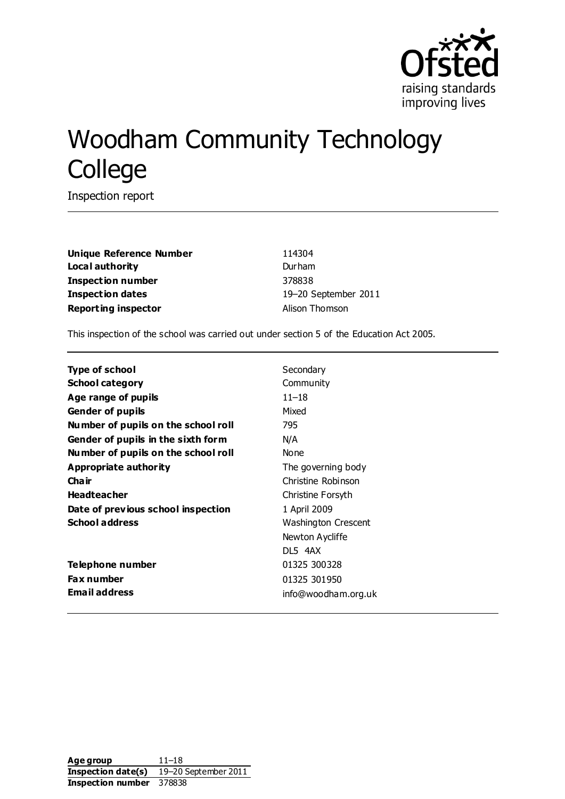

# Woodham Community Technology College

Inspection report

**Unique Reference Number** 114304 **Local authority** Durham **Inspection number** 378838 **Inspection dates** 19–20 September 2011 **Reporting inspector Alison Thomson** 

This inspection of the school was carried out under section 5 of the Education Act 2005.

| Type of school                      | Secondary           |
|-------------------------------------|---------------------|
| <b>School category</b>              | Community           |
| Age range of pupils                 | $11 - 18$           |
| <b>Gender of pupils</b>             | Mixed               |
| Number of pupils on the school roll | 795                 |
| Gender of pupils in the sixth form  | N/A                 |
| Number of pupils on the school roll | None                |
| Appropriate authority               | The governing body  |
| Cha ir                              | Christine Robinson  |
| <b>Headteacher</b>                  | Christine Forsyth   |
| Date of previous school inspection  | 1 April 2009        |
| <b>School address</b>               | Washington Crescent |
|                                     | Newton Aycliffe     |
|                                     | DL5 4AX             |
| Telephone number                    | 01325 300328        |
| <b>Fax number</b>                   | 01325 301950        |
| <b>Email address</b>                | info@woodham.org.uk |
|                                     |                     |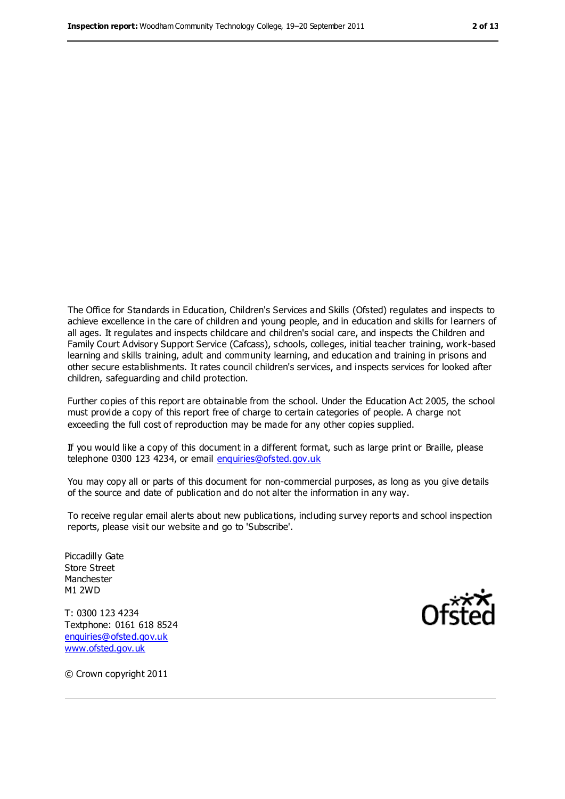The Office for Standards in Education, Children's Services and Skills (Ofsted) regulates and inspects to achieve excellence in the care of children and young people, and in education and skills for learners of all ages. It regulates and inspects childcare and children's social care, and inspects the Children and Family Court Advisory Support Service (Cafcass), schools, colleges, initial teacher training, work-based learning and skills training, adult and community learning, and education and training in prisons and other secure establishments. It rates council children's services, and inspects services for looked after children, safeguarding and child protection.

Further copies of this report are obtainable from the school. Under the Education Act 2005, the school must provide a copy of this report free of charge to certain categories of people. A charge not exceeding the full cost of reproduction may be made for any other copies supplied.

If you would like a copy of this document in a different format, such as large print or Braille, please telephone 0300 123 4234, or email [enquiries@ofsted.gov.uk](mailto:enquiries@ofsted.gov.uk)

You may copy all or parts of this document for non-commercial purposes, as long as you give details of the source and date of publication and do not alter the information in any way.

To receive regular email alerts about new publications, including survey reports and school inspection reports, please visit our website and go to 'Subscribe'.

Piccadilly Gate Store Street Manchester M1 2WD

T: 0300 123 4234 Textphone: 0161 618 8524 [enquiries@ofsted.gov.uk](mailto:enquiries@ofsted.gov.uk) [www.ofsted.gov.uk](http://www.ofsted.gov.uk/)



© Crown copyright 2011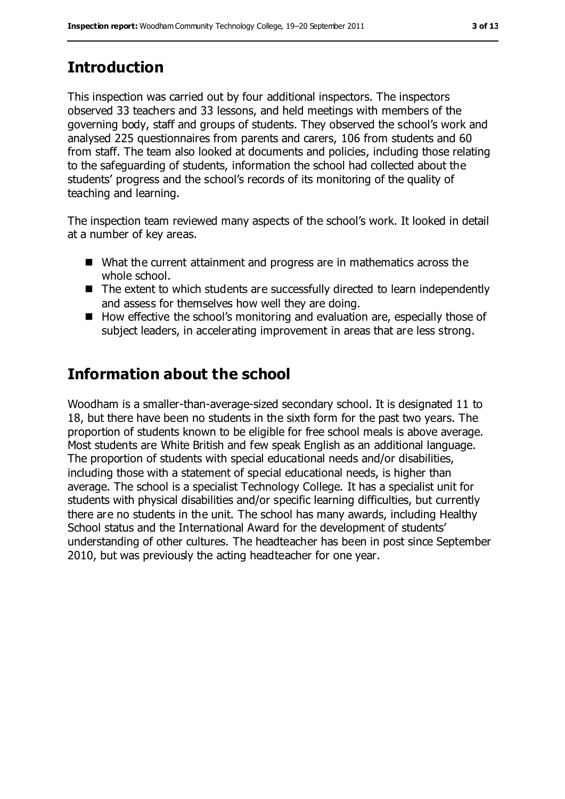# **Introduction**

This inspection was carried out by four additional inspectors. The inspectors observed 33 teachers and 33 lessons, and held meetings with members of the governing body, staff and groups of students. They observed the school's work and analysed 225 questionnaires from parents and carers, 106 from students and 60 from staff. The team also looked at documents and policies, including those relating to the safeguarding of students, information the school had collected about the students' progress and the school's records of its monitoring of the quality of teaching and learning.

The inspection team reviewed many aspects of the school's work. It looked in detail at a number of key areas.

- What the current attainment and progress are in mathematics across the whole school.
- The extent to which students are successfully directed to learn independently and assess for themselves how well they are doing.
- How effective the school's monitoring and evaluation are, especially those of subject leaders, in accelerating improvement in areas that are less strong.

# **Information about the school**

Woodham is a smaller-than-average-sized secondary school. It is designated 11 to 18, but there have been no students in the sixth form for the past two years. The proportion of students known to be eligible for free school meals is above average. Most students are White British and few speak English as an additional language. The proportion of students with special educational needs and/or disabilities, including those with a statement of special educational needs, is higher than average. The school is a specialist Technology College. It has a specialist unit for students with physical disabilities and/or specific learning difficulties, but currently there are no students in the unit. The school has many awards, including Healthy School status and the International Award for the development of students' understanding of other cultures. The headteacher has been in post since September 2010, but was previously the acting headteacher for one year.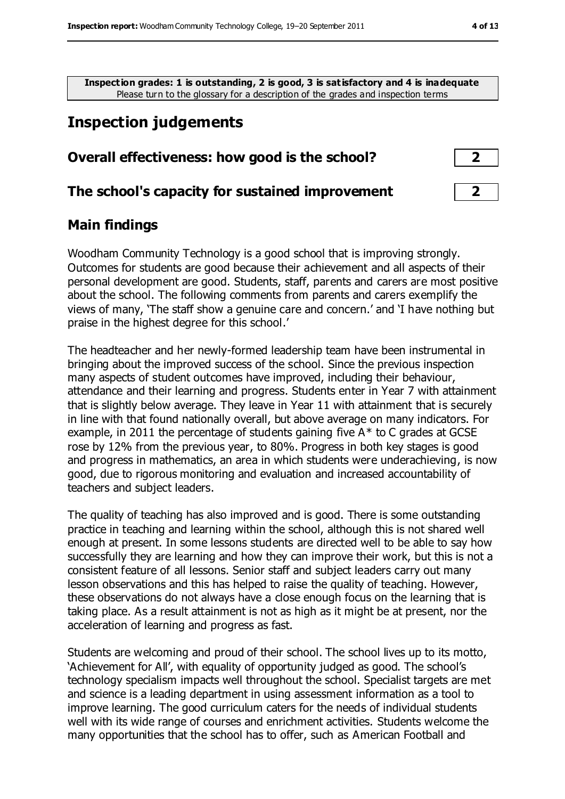**Inspection grades: 1 is outstanding, 2 is good, 3 is satisfactory and 4 is inadequate** Please turn to the glossary for a description of the grades and inspection terms

# **Inspection judgements**

#### **Overall effectiveness: how good is the school? 2**

#### **The school's capacity for sustained improvement 2**

#### **Main findings**

Woodham Community Technology is a good school that is improving strongly. Outcomes for students are good because their achievement and all aspects of their personal development are good. Students, staff, parents and carers are most positive about the school. The following comments from parents and carers exemplify the views of many, 'The staff show a genuine care and concern.' and 'I have nothing but praise in the highest degree for this school.'

The headteacher and her newly-formed leadership team have been instrumental in bringing about the improved success of the school. Since the previous inspection many aspects of student outcomes have improved, including their behaviour, attendance and their learning and progress. Students enter in Year 7 with attainment that is slightly below average. They leave in Year 11 with attainment that is securely in line with that found nationally overall, but above average on many indicators. For example, in 2011 the percentage of students gaining five A\* to C grades at GCSE rose by 12% from the previous year, to 80%. Progress in both key stages is good and progress in mathematics, an area in which students were underachieving, is now good, due to rigorous monitoring and evaluation and increased accountability of teachers and subject leaders.

The quality of teaching has also improved and is good. There is some outstanding practice in teaching and learning within the school, although this is not shared well enough at present. In some lessons students are directed well to be able to say how successfully they are learning and how they can improve their work, but this is not a consistent feature of all lessons. Senior staff and subject leaders carry out many lesson observations and this has helped to raise the quality of teaching. However, these observations do not always have a close enough focus on the learning that is taking place. As a result attainment is not as high as it might be at present, nor the acceleration of learning and progress as fast.

Students are welcoming and proud of their school. The school lives up to its motto, 'Achievement for All', with equality of opportunity judged as good. The school's technology specialism impacts well throughout the school. Specialist targets are met and science is a leading department in using assessment information as a tool to improve learning. The good curriculum caters for the needs of individual students well with its wide range of courses and enrichment activities. Students welcome the many opportunities that the school has to offer, such as American Football and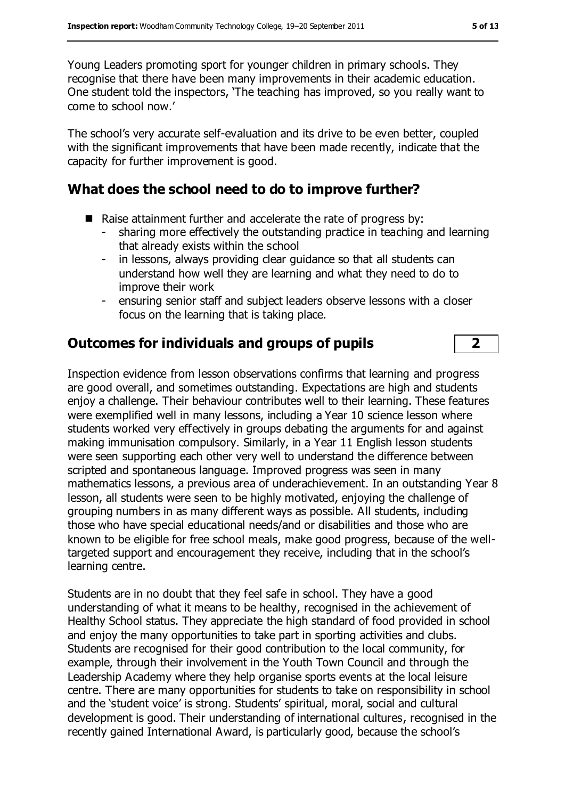Young Leaders promoting sport for younger children in primary schools. They recognise that there have been many improvements in their academic education. One student told the inspectors, 'The teaching has improved, so you really want to come to school now.'

The school's very accurate self-evaluation and its drive to be even better, coupled with the significant improvements that have been made recently, indicate that the capacity for further improvement is good.

## **What does the school need to do to improve further?**

- Raise attainment further and accelerate the rate of progress by:
	- sharing more effectively the outstanding practice in teaching and learning that already exists within the school
	- in lessons, always providing clear guidance so that all students can understand how well they are learning and what they need to do to improve their work
	- ensuring senior staff and subject leaders observe lessons with a closer focus on the learning that is taking place.

## **Outcomes for individuals and groups of pupils 2**

Inspection evidence from lesson observations confirms that learning and progress are good overall, and sometimes outstanding. Expectations are high and students enjoy a challenge. Their behaviour contributes well to their learning. These features were exemplified well in many lessons, including a Year 10 science lesson where students worked very effectively in groups debating the arguments for and against making immunisation compulsory. Similarly, in a Year 11 English lesson students were seen supporting each other very well to understand the difference between scripted and spontaneous language. Improved progress was seen in many mathematics lessons, a previous area of underachievement. In an outstanding Year 8 lesson, all students were seen to be highly motivated, enjoying the challenge of grouping numbers in as many different ways as possible. All students, including those who have special educational needs/and or disabilities and those who are known to be eligible for free school meals, make good progress, because of the welltargeted support and encouragement they receive, including that in the school's learning centre.

Students are in no doubt that they feel safe in school. They have a good understanding of what it means to be healthy, recognised in the achievement of Healthy School status. They appreciate the high standard of food provided in school and enjoy the many opportunities to take part in sporting activities and clubs. Students are recognised for their good contribution to the local community, for example, through their involvement in the Youth Town Council and through the Leadership Academy where they help organise sports events at the local leisure centre. There are many opportunities for students to take on responsibility in school and the 'student voice' is strong. Students' spiritual, moral, social and cultural development is good. Their understanding of international cultures, recognised in the recently gained International Award, is particularly good, because the school's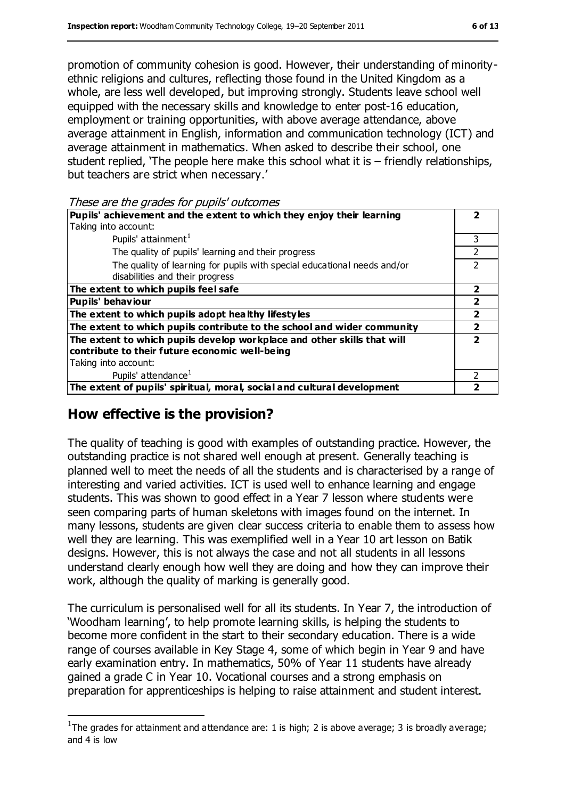promotion of community cohesion is good. However, their understanding of minorityethnic religions and cultures, reflecting those found in the United Kingdom as a whole, are less well developed, but improving strongly. Students leave school well equipped with the necessary skills and knowledge to enter post-16 education, employment or training opportunities, with above average attendance, above average attainment in English, information and communication technology (ICT) and average attainment in mathematics. When asked to describe their school, one student replied, 'The people here make this school what it is – friendly relationships, but teachers are strict when necessary.'

These are the grades for pupils' outcomes

| Pupils' achievement and the extent to which they enjoy their learning    |   |
|--------------------------------------------------------------------------|---|
| Taking into account:                                                     |   |
| Pupils' attainment <sup>1</sup>                                          | 3 |
| The quality of pupils' learning and their progress                       |   |
| The quality of learning for pupils with special educational needs and/or | ר |
| disabilities and their progress                                          |   |
| The extent to which pupils feel safe                                     |   |
| <b>Pupils' behaviour</b>                                                 |   |
| The extent to which pupils adopt healthy lifestyles                      |   |
| The extent to which pupils contribute to the school and wider community  |   |
| The extent to which pupils develop workplace and other skills that will  | ל |
| contribute to their future economic well-being                           |   |
| Taking into account:                                                     |   |
| Pupils' attendance <sup>1</sup>                                          |   |
| The extent of pupils' spiritual, moral, social and cultural development  |   |

#### **How effective is the provision?**

 $\overline{a}$ 

The quality of teaching is good with examples of outstanding practice. However, the outstanding practice is not shared well enough at present. Generally teaching is planned well to meet the needs of all the students and is characterised by a range of interesting and varied activities. ICT is used well to enhance learning and engage students. This was shown to good effect in a Year 7 lesson where students were seen comparing parts of human skeletons with images found on the internet. In many lessons, students are given clear success criteria to enable them to assess how well they are learning. This was exemplified well in a Year 10 art lesson on Batik designs. However, this is not always the case and not all students in all lessons understand clearly enough how well they are doing and how they can improve their work, although the quality of marking is generally good.

The curriculum is personalised well for all its students. In Year 7, the introduction of 'Woodham learning', to help promote learning skills, is helping the students to become more confident in the start to their secondary education. There is a wide range of courses available in Key Stage 4, some of which begin in Year 9 and have early examination entry. In mathematics, 50% of Year 11 students have already gained a grade C in Year 10. Vocational courses and a strong emphasis on preparation for apprenticeships is helping to raise attainment and student interest.

<sup>&</sup>lt;sup>1</sup>The grades for attainment and attendance are: 1 is high; 2 is above average; 3 is broadly average; and 4 is low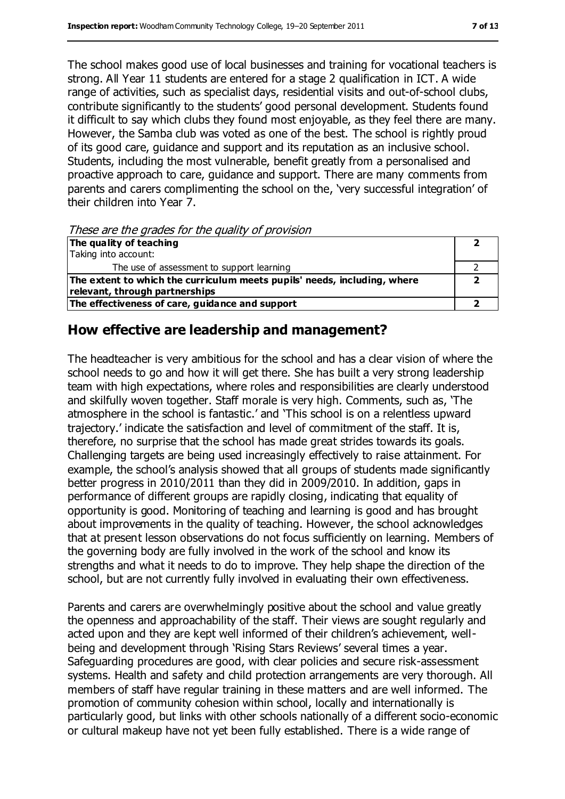The school makes good use of local businesses and training for vocational teachers is strong. All Year 11 students are entered for a stage 2 qualification in ICT. A wide range of activities, such as specialist days, residential visits and out-of-school clubs, contribute significantly to the students' good personal development. Students found it difficult to say which clubs they found most enjoyable, as they feel there are many. However, the Samba club was voted as one of the best. The school is rightly proud of its good care, guidance and support and its reputation as an inclusive school. Students, including the most vulnerable, benefit greatly from a personalised and proactive approach to care, guidance and support. There are many comments from parents and carers complimenting the school on the, 'very successful integration' of their children into Year 7.

These are the grades for the quality of provision

| The quality of teaching                                                  |  |
|--------------------------------------------------------------------------|--|
| Taking into account:                                                     |  |
| The use of assessment to support learning                                |  |
| The extent to which the curriculum meets pupils' needs, including, where |  |
| relevant, through partnerships                                           |  |
| The effectiveness of care, guidance and support                          |  |

#### **How effective are leadership and management?**

The headteacher is very ambitious for the school and has a clear vision of where the school needs to go and how it will get there. She has built a very strong leadership team with high expectations, where roles and responsibilities are clearly understood and skilfully woven together. Staff morale is very high. Comments, such as, 'The atmosphere in the school is fantastic.' and 'This school is on a relentless upward trajectory.' indicate the satisfaction and level of commitment of the staff. It is, therefore, no surprise that the school has made great strides towards its goals. Challenging targets are being used increasingly effectively to raise attainment. For example, the school's analysis showed that all groups of students made significantly better progress in 2010/2011 than they did in 2009/2010. In addition, gaps in performance of different groups are rapidly closing, indicating that equality of opportunity is good. Monitoring of teaching and learning is good and has brought about improvements in the quality of teaching. However, the school acknowledges that at present lesson observations do not focus sufficiently on learning. Members of the governing body are fully involved in the work of the school and know its strengths and what it needs to do to improve. They help shape the direction of the school, but are not currently fully involved in evaluating their own effectiveness.

Parents and carers are overwhelmingly positive about the school and value greatly the openness and approachability of the staff. Their views are sought regularly and acted upon and they are kept well informed of their children's achievement, wellbeing and development through 'Rising Stars Reviews' several times a year. Safeguarding procedures are good, with clear policies and secure risk-assessment systems. Health and safety and child protection arrangements are very thorough. All members of staff have regular training in these matters and are well informed. The promotion of community cohesion within school, locally and internationally is particularly good, but links with other schools nationally of a different socio-economic or cultural makeup have not yet been fully established. There is a wide range of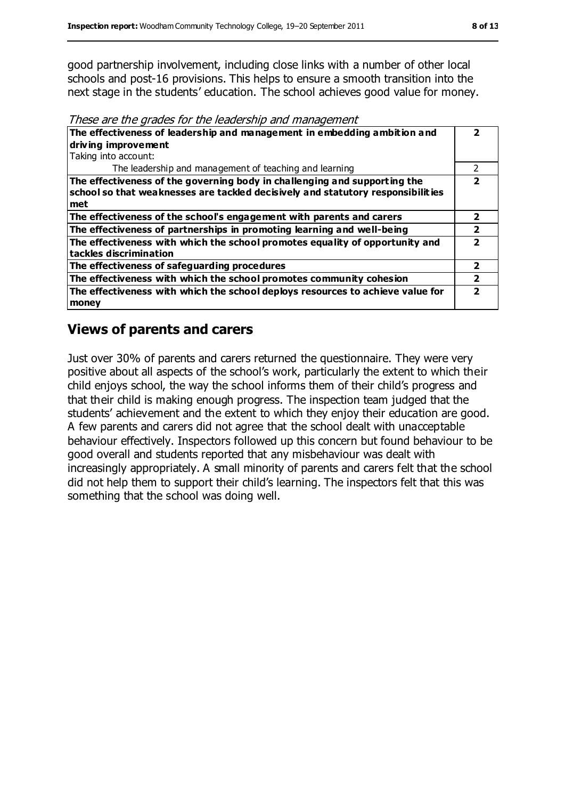good partnership involvement, including close links with a number of other local schools and post-16 provisions. This helps to ensure a smooth transition into the next stage in the students' education. The school achieves good value for money.

These are the grades for the leadership and management

| The effectiveness of leadership and management in embedding ambition and                                                                                            |   |
|---------------------------------------------------------------------------------------------------------------------------------------------------------------------|---|
| driving improvement                                                                                                                                                 |   |
| Taking into account:                                                                                                                                                |   |
| The leadership and management of teaching and learning                                                                                                              | 2 |
| The effectiveness of the governing body in challenging and supporting the<br>school so that weaknesses are tackled decisively and statutory responsibilities<br>met |   |
| The effectiveness of the school's engagement with parents and carers                                                                                                | 2 |
| The effectiveness of partnerships in promoting learning and well-being                                                                                              |   |
| The effectiveness with which the school promotes equality of opportunity and<br>tackles discrimination                                                              |   |
| The effectiveness of safeguarding procedures                                                                                                                        | 2 |
| The effectiveness with which the school promotes community cohesion                                                                                                 |   |
| The effectiveness with which the school deploys resources to achieve value for<br>money                                                                             | 7 |

#### **Views of parents and carers**

Just over 30% of parents and carers returned the questionnaire. They were very positive about all aspects of the school's work, particularly the extent to which their child enjoys school, the way the school informs them of their child's progress and that their child is making enough progress. The inspection team judged that the students' achievement and the extent to which they enjoy their education are good. A few parents and carers did not agree that the school dealt with unacceptable behaviour effectively. Inspectors followed up this concern but found behaviour to be good overall and students reported that any misbehaviour was dealt with increasingly appropriately. A small minority of parents and carers felt that the school did not help them to support their child's learning. The inspectors felt that this was something that the school was doing well.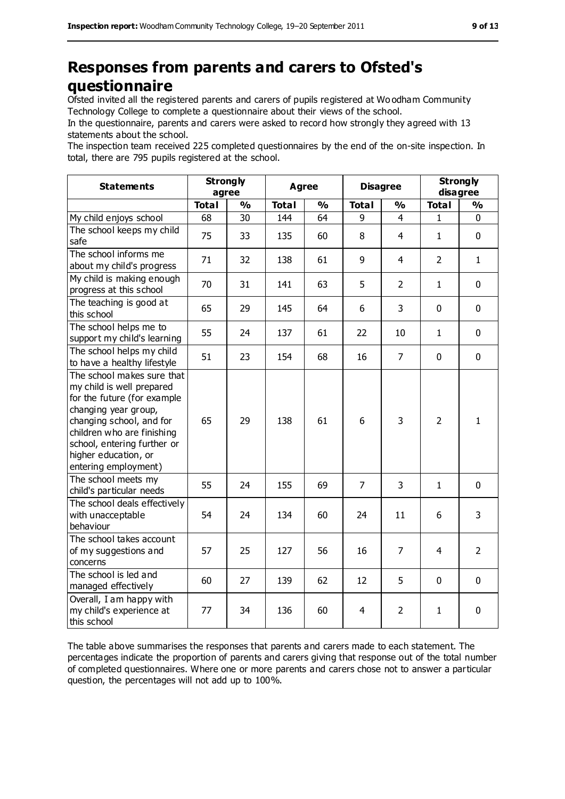# **Responses from parents and carers to Ofsted's questionnaire**

Ofsted invited all the registered parents and carers of pupils registered at Wo odham Community Technology College to complete a questionnaire about their views of the school.

In the questionnaire, parents and carers were asked to record how strongly they agreed with 13 statements about the school.

The inspection team received 225 completed questionnaires by the end of the on-site inspection. In total, there are 795 pupils registered at the school.

| <b>Statements</b>                                                                                                                                                                                                                                       | <b>Strongly</b><br>agree |               | <b>Agree</b> |               |                | <b>Disagree</b> |                | <b>Strongly</b><br>disagree |  |
|---------------------------------------------------------------------------------------------------------------------------------------------------------------------------------------------------------------------------------------------------------|--------------------------|---------------|--------------|---------------|----------------|-----------------|----------------|-----------------------------|--|
|                                                                                                                                                                                                                                                         | <b>Total</b>             | $\frac{0}{0}$ | <b>Total</b> | $\frac{1}{2}$ | <b>Total</b>   | $\frac{0}{0}$   | <b>Total</b>   | $\frac{0}{0}$               |  |
| My child enjoys school                                                                                                                                                                                                                                  | 68                       | 30            | 144          | 64            | 9              | $\overline{4}$  | 1              | $\mathbf 0$                 |  |
| The school keeps my child<br>safe                                                                                                                                                                                                                       | 75                       | 33            | 135          | 60            | 8              | $\overline{4}$  | $\mathbf{1}$   | $\mathbf 0$                 |  |
| The school informs me<br>about my child's progress                                                                                                                                                                                                      | 71                       | 32            | 138          | 61            | 9              | $\overline{4}$  | $\overline{2}$ | $\mathbf{1}$                |  |
| My child is making enough<br>progress at this school                                                                                                                                                                                                    | 70                       | 31            | 141          | 63            | 5              | $\overline{2}$  | $\mathbf{1}$   | $\mathbf 0$                 |  |
| The teaching is good at<br>this school                                                                                                                                                                                                                  | 65                       | 29            | 145          | 64            | 6              | 3               | $\mathbf 0$    | $\mathbf 0$                 |  |
| The school helps me to<br>support my child's learning                                                                                                                                                                                                   | 55                       | 24            | 137          | 61            | 22             | 10              | $\mathbf{1}$   | $\mathbf 0$                 |  |
| The school helps my child<br>to have a healthy lifestyle                                                                                                                                                                                                | 51                       | 23            | 154          | 68            | 16             | $\overline{7}$  | $\mathbf 0$    | $\mathbf 0$                 |  |
| The school makes sure that<br>my child is well prepared<br>for the future (for example<br>changing year group,<br>changing school, and for<br>children who are finishing<br>school, entering further or<br>higher education, or<br>entering employment) | 65                       | 29            | 138          | 61            | 6              | 3               | $\overline{2}$ | $\mathbf{1}$                |  |
| The school meets my<br>child's particular needs                                                                                                                                                                                                         | 55                       | 24            | 155          | 69            | $\overline{7}$ | 3               | $\mathbf{1}$   | $\mathbf 0$                 |  |
| The school deals effectively<br>with unacceptable<br>behaviour                                                                                                                                                                                          | 54                       | 24            | 134          | 60            | 24             | 11              | 6              | 3                           |  |
| The school takes account<br>of my suggestions and<br>concerns                                                                                                                                                                                           | 57                       | 25            | 127          | 56            | 16             | $\overline{7}$  | 4              | $\overline{2}$              |  |
| The school is led and<br>managed effectively                                                                                                                                                                                                            | 60                       | 27            | 139          | 62            | 12             | 5               | $\mathbf 0$    | 0                           |  |
| Overall, I am happy with<br>my child's experience at<br>this school                                                                                                                                                                                     | 77                       | 34            | 136          | 60            | 4              | $\overline{2}$  | 1              | 0                           |  |

The table above summarises the responses that parents and carers made to each statement. The percentages indicate the proportion of parents and carers giving that response out of the total number of completed questionnaires. Where one or more parents and carers chose not to answer a particular question, the percentages will not add up to 100%.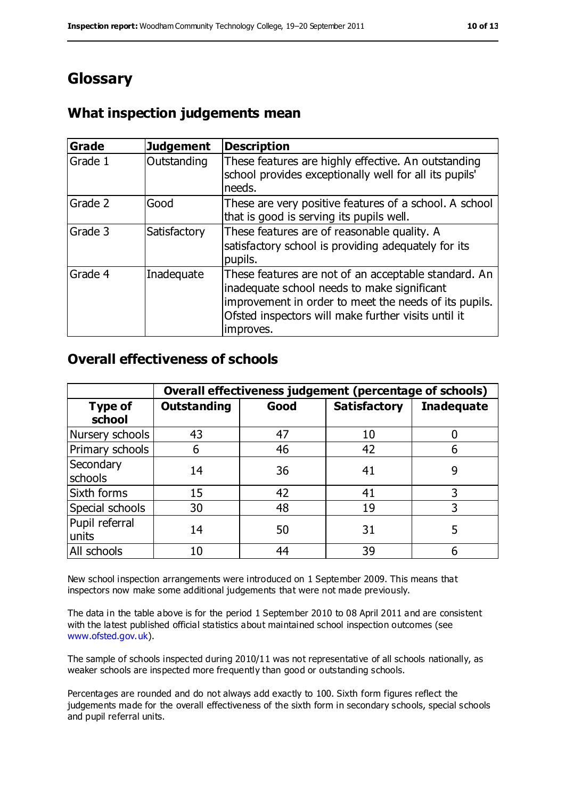# **Glossary**

### **What inspection judgements mean**

| <b>Grade</b> | <b>Judgement</b> | <b>Description</b>                                                                                                                                                                                                               |
|--------------|------------------|----------------------------------------------------------------------------------------------------------------------------------------------------------------------------------------------------------------------------------|
| Grade 1      | Outstanding      | These features are highly effective. An outstanding<br>school provides exceptionally well for all its pupils'<br>needs.                                                                                                          |
| Grade 2      | Good             | These are very positive features of a school. A school<br>that is good is serving its pupils well.                                                                                                                               |
| Grade 3      | Satisfactory     | These features are of reasonable quality. A<br>satisfactory school is providing adequately for its<br>pupils.                                                                                                                    |
| Grade 4      | Inadequate       | These features are not of an acceptable standard. An<br>inadequate school needs to make significant<br>improvement in order to meet the needs of its pupils.<br>Ofsted inspectors will make further visits until it<br>improves. |

#### **Overall effectiveness of schools**

|                          | Overall effectiveness judgement (percentage of schools) |      |                     |                   |
|--------------------------|---------------------------------------------------------|------|---------------------|-------------------|
| <b>Type of</b><br>school | <b>Outstanding</b>                                      | Good | <b>Satisfactory</b> | <b>Inadequate</b> |
| Nursery schools          | 43                                                      | 47   | 10                  |                   |
| Primary schools          | 6                                                       | 46   | 42                  |                   |
| Secondary<br>schools     | 14                                                      | 36   | 41                  | 9                 |
| Sixth forms              | 15                                                      | 42   | 41                  | 3                 |
| Special schools          | 30                                                      | 48   | 19                  | 3                 |
| Pupil referral<br>units  | 14                                                      | 50   | 31                  | 5                 |
| All schools              | 10                                                      | 44   | 39                  |                   |

New school inspection arrangements were introduced on 1 September 2009. This means that inspectors now make some additional judgements that were not made previously.

The data in the table above is for the period 1 September 2010 to 08 April 2011 and are consistent with the latest published official statistics about maintained school inspection outcomes (see [www.ofsted.gov.uk\)](http://www.ofsted.gov.uk/).

The sample of schools inspected during 2010/11 was not representative of all schools nationally, as weaker schools are inspected more frequently than good or outstanding schools.

Percentages are rounded and do not always add exactly to 100. Sixth form figures reflect the judgements made for the overall effectiveness of the sixth form in secondary schools, special schools and pupil referral units.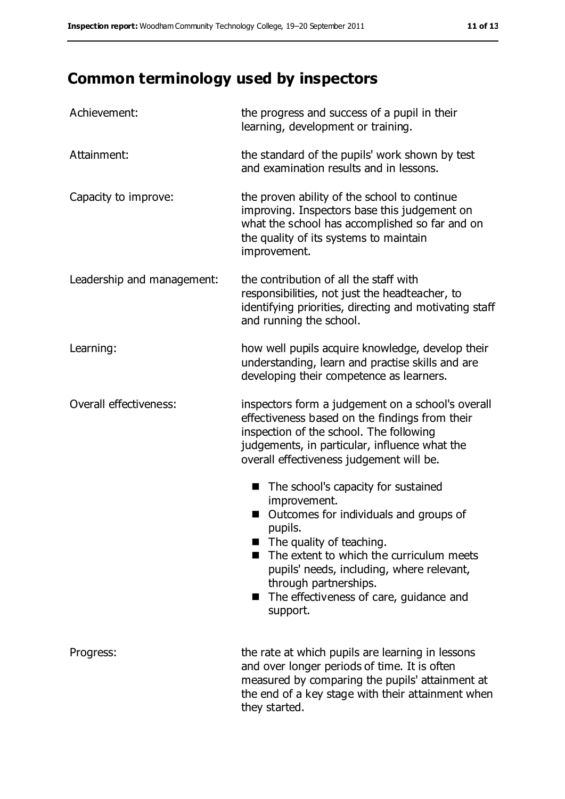# **Common terminology used by inspectors**

| Achievement:               | the progress and success of a pupil in their<br>learning, development or training.                                                                                                                                                                                                                                       |
|----------------------------|--------------------------------------------------------------------------------------------------------------------------------------------------------------------------------------------------------------------------------------------------------------------------------------------------------------------------|
| Attainment:                | the standard of the pupils' work shown by test<br>and examination results and in lessons.                                                                                                                                                                                                                                |
| Capacity to improve:       | the proven ability of the school to continue<br>improving. Inspectors base this judgement on<br>what the school has accomplished so far and on<br>the quality of its systems to maintain<br>improvement.                                                                                                                 |
| Leadership and management: | the contribution of all the staff with<br>responsibilities, not just the headteacher, to<br>identifying priorities, directing and motivating staff<br>and running the school.                                                                                                                                            |
| Learning:                  | how well pupils acquire knowledge, develop their<br>understanding, learn and practise skills and are<br>developing their competence as learners.                                                                                                                                                                         |
| Overall effectiveness:     | inspectors form a judgement on a school's overall<br>effectiveness based on the findings from their<br>inspection of the school. The following<br>judgements, in particular, influence what the<br>overall effectiveness judgement will be.                                                                              |
|                            | The school's capacity for sustained<br>■<br>improvement.<br>Outcomes for individuals and groups of<br>pupils.<br>The quality of teaching.<br>The extent to which the curriculum meets<br>pupils' needs, including, where relevant,<br>through partnerships.<br>The effectiveness of care, guidance and<br>m.<br>support. |
| Progress:                  | the rate at which pupils are learning in lessons<br>and over longer periods of time. It is often<br>measured by comparing the pupils' attainment at<br>the end of a key stage with their attainment when<br>they started.                                                                                                |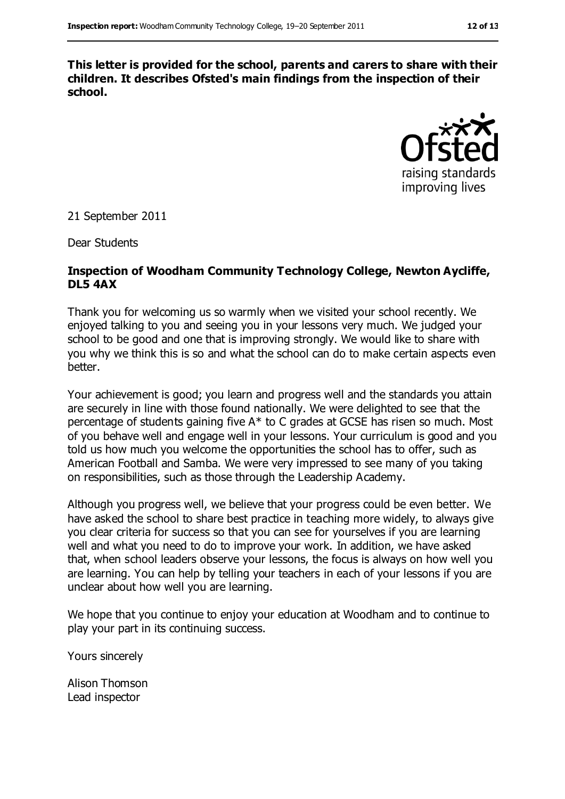**This letter is provided for the school, parents and carers to share with their children. It describes Ofsted's main findings from the inspection of their school.**



21 September 2011

Dear Students

#### **Inspection of Woodham Community Technology College, Newton Aycliffe, DL5 4AX**

Thank you for welcoming us so warmly when we visited your school recently. We enjoyed talking to you and seeing you in your lessons very much. We judged your school to be good and one that is improving strongly. We would like to share with you why we think this is so and what the school can do to make certain aspects even better.

Your achievement is good; you learn and progress well and the standards you attain are securely in line with those found nationally. We were delighted to see that the percentage of students gaining five A\* to C grades at GCSE has risen so much. Most of you behave well and engage well in your lessons. Your curriculum is good and you told us how much you welcome the opportunities the school has to offer, such as American Football and Samba. We were very impressed to see many of you taking on responsibilities, such as those through the Leadership Academy.

Although you progress well, we believe that your progress could be even better. We have asked the school to share best practice in teaching more widely, to always give you clear criteria for success so that you can see for yourselves if you are learning well and what you need to do to improve your work. In addition, we have asked that, when school leaders observe your lessons, the focus is always on how well you are learning. You can help by telling your teachers in each of your lessons if you are unclear about how well you are learning.

We hope that you continue to enjoy your education at Woodham and to continue to play your part in its continuing success.

Yours sincerely

Alison Thomson Lead inspector